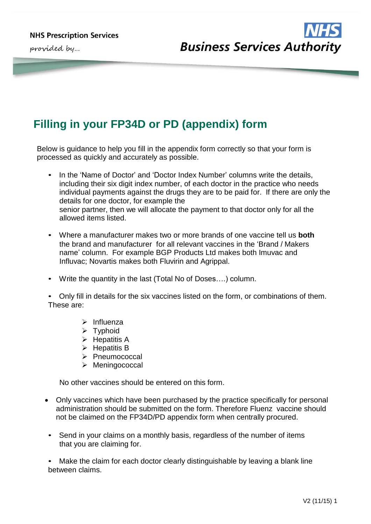provided by...



## **Filling in your FP34D or PD (appendix) form**

Below is guidance to help you fill in the appendix form correctly so that your form is processed as quickly and accurately as possible.

- In the 'Name of Doctor' and 'Doctor Index Number' columns write the details, including their six digit index number, of each doctor in the practice who needs individual payments against the drugs they are to be paid for. If there are only the details for one doctor, for example the senior partner, then we will allocate the payment to that doctor only for all the allowed items listed.
- Where a manufacturer makes two or more brands of one vaccine tell us **both**  the brand and manufacturer for all relevant vaccines in the 'Brand / Makers name' column. For example BGP Products Ltd makes both Imuvac and Influvac; Novartis makes both Fluvirin and Agrippal.
- Write the quantity in the last (Total No of Doses….) column.

• Only fill in details for the six vaccines listed on the form, or combinations of them. These are:

- $\triangleright$  Influenza
- $\triangleright$  Typhoid
- $\triangleright$  Hepatitis A
- $\triangleright$  Hepatitis B
- > Pneumococcal
- > Meningococcal

No other vaccines should be entered on this form.

- Only vaccines which have been purchased by the practice specifically for personal administration should be submitted on the form. Therefore Fluenz vaccine should not be claimed on the FP34D/PD appendix form when centrally procured.
- Send in your claims on a monthly basis, regardless of the number of items that you are claiming for.

Make the claim for each doctor clearly distinguishable by leaving a blank line between claims.